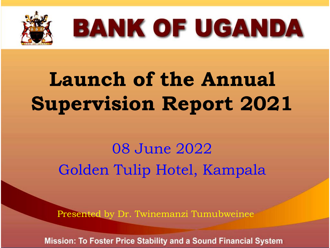

## **BANK OF UGANDA**

## **Launch of the Annual Supervision Report 2021**

### 08 June 2022 Golden Tulip Hotel, Kampala

Presented by Dr. Twinemanzi Tumubweinee

**Mission: To Foster Price Stability and a Sound Financial System**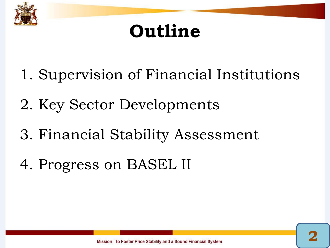

### **Outline**

- 1. Supervision of Financial Institutions
- 2. Key Sector Developments
- 3. Financial Stability Assessment
- 4. Progress on BASEL II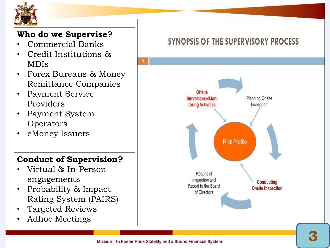

#### **Who do we Supervise?**

- Commercial Banks
- Credit Institutions & MDIs
- Forex Bureaus & Money Remittance Companies
- Payment Service Providers
- Payment System **Operators**
- eMoney Issuers

#### **Conduct of Supervision?**

- Virtual & In-Person engagements
- Probability & Impact Rating System (PAIRS)
- Targeted Reviews
- Adhoc Meetings

#### SYNOPSIS OF THE SUPERVISORY PROCESS

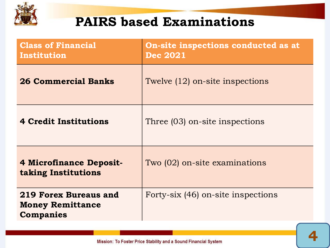

### **PAIRS based Examinations**

| <b>Class of Financial</b><br>Institution                                    | On-site inspections conducted as at<br><b>Dec 2021</b> |
|-----------------------------------------------------------------------------|--------------------------------------------------------|
| <b>26 Commercial Banks</b>                                                  | Twelve (12) on-site inspections                        |
| <b>4 Credit Institutions</b>                                                | Three (03) on-site inspections                         |
| <b>4 Microfinance Deposit-</b><br>taking Institutions                       | Two (02) on-site examinations                          |
| <b>219 Forex Bureaus and</b><br><b>Money Remittance</b><br><b>Companies</b> | Forty-six (46) on-site inspections                     |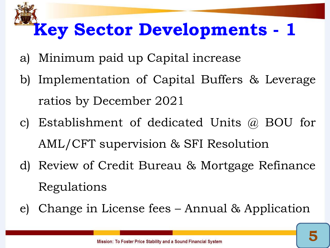### **Key Sector Developments - 1**

- a) Minimum paid up Capital increase
- b) Implementation of Capital Buffers & Leverage ratios by December 2021
- c) Establishment of dedicated Units @ BOU for AML/CFT supervision & SFI Resolution
- d) Review of Credit Bureau & Mortgage Refinance Regulations
- e) Change in License fees Annual & Application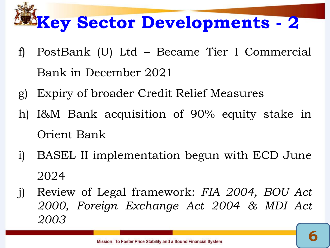## **Key Sector Developments - 2**

- f) PostBank (U) Ltd Became Tier I Commercial Bank in December 2021
- g) Expiry of broader Credit Relief Measures
- h) I&M Bank acquisition of 90% equity stake in Orient Bank
- i) BASEL II implementation begun with ECD June 2024
- j) Review of Legal framework: *FIA 2004, BOU Act 2000, Foreign Exchange Act 2004 & MDI Act 2003*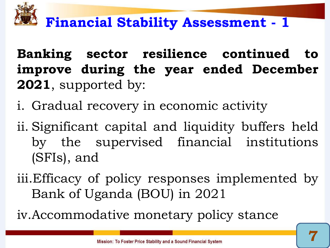

### **Financial Stability Assessment - 1**

**Banking sector resilience continued to improve during the year ended December 2021**, supported by:

- i. Gradual recovery in economic activity
- ii. Significant capital and liquidity buffers held by the supervised financial institutions (SFIs), and
- iii.Efficacy of policy responses implemented by Bank of Uganda (BOU) in 2021
- iv.Accommodative monetary policy stance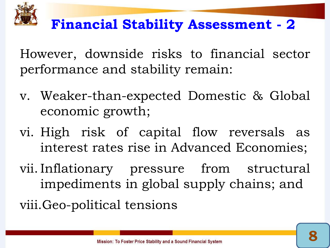

### **Financial Stability Assessment - 2**

However, downside risks to financial sector performance and stability remain:

- v. Weaker-than-expected Domestic & Global economic growth;
- vi. High risk of capital flow reversals as interest rates rise in Advanced Economies;
- vii. Inflationary pressure from structural impediments in global supply chains; and

viii.Geo-political tensions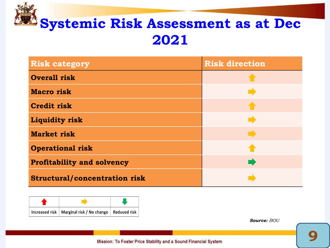

| <b>Risk category</b>                 | <b>Risk direction</b> |
|--------------------------------------|-----------------------|
| <b>Overall risk</b>                  |                       |
| <b>Macro</b> risk                    |                       |
| <b>Credit risk</b>                   |                       |
| <b>Liquidity risk</b>                |                       |
| <b>Market risk</b>                   |                       |
| <b>Operational risk</b>              |                       |
| <b>Profitability and solvency</b>    |                       |
| <b>Structural/concentration risk</b> |                       |



*Source: BOU*

Mission: To Foster Price Stability and a Sound Financial System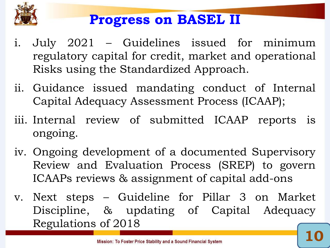

### **Progress on BASEL II**

- i. July 2021 Guidelines issued for minimum regulatory capital for credit, market and operational Risks using the Standardized Approach.
- ii. Guidance issued mandating conduct of Internal Capital Adequacy Assessment Process (ICAAP);
- iii. Internal review of submitted ICAAP reports is ongoing.
- iv. Ongoing development of a documented Supervisory Review and Evaluation Process (SREP) to govern ICAAPs reviews & assignment of capital add-ons
- v. Next steps Guideline for Pillar 3 on Market Discipline, & updating of Capital Adequacy Regulations of 2018 **10**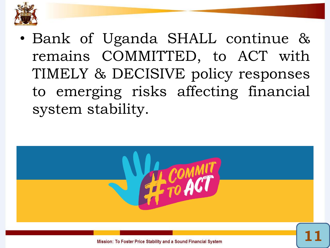

• Bank of Uganda SHALL continue & remains COMMITTED, to ACT with TIMELY & DECISIVE policy responses to emerging risks affecting financial system stability.



Mission: To Foster Price Stability and a Sound Financial System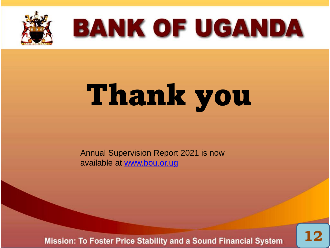

## **BANK OF UGANDA**

# Thank you

Annual Supervision Report 2021 is now available at [www.bou.or.ug](http://www.bou.or.ug/)

**Mission: To Foster Price Stability and a Sound Financial System** 

**12**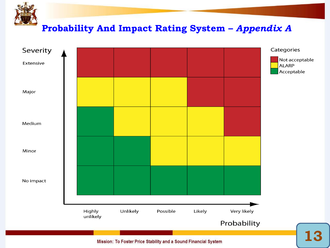

Mission: To Foster Price Stability and a Sound Financial System